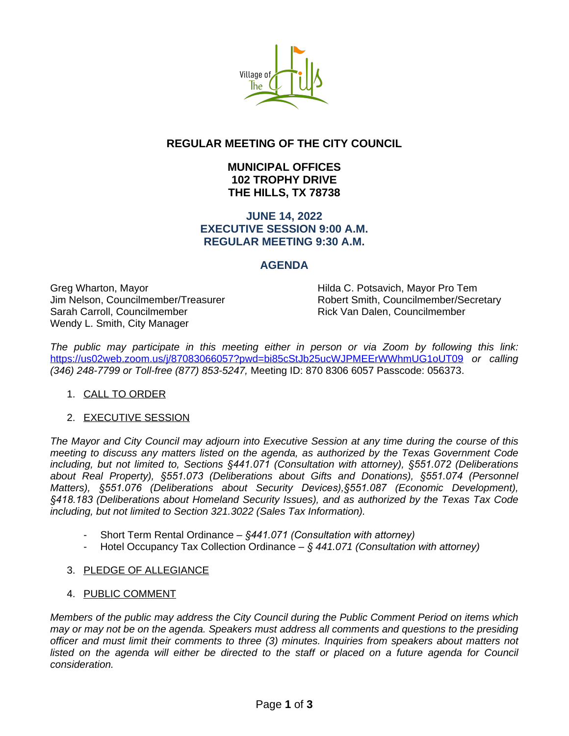

# **REGULAR MEETING OF THE CITY COUNCIL**

# **MUNICIPAL OFFICES 102 TROPHY DRIVE THE HILLS, TX 78738**

### **JUNE 14, 2022 EXECUTIVE SESSION 9:00 A.M. REGULAR MEETING 9:30 A.M.**

# **AGENDA**

Greg Wharton, Mayor **Hilda C. Potsavich, Mayor Pro Tem** Sarah Carroll, Councilmember **Rick Van Dalen, Councilmember** Rick Van Dalen, Councilmember Wendy L. Smith, City Manager

Jim Nelson, Councilmember/Treasurer Robert Smith, Councilmember/Secretary

*The public may participate in this meeting either in person or via Zoom by following this link:* <https://us02web.zoom.us/j/87083066057?pwd=bi85cStJb25ucWJPMEErWWhmUG1oUT09> *or calling (346) 248-7799 or Toll-free (877) 853-5247,* Meeting ID: 870 8306 6057 Passcode: 056373.

#### 1. CALL TO ORDER

#### 2. EXECUTIVE SESSION

The Mayor and City Council may adjourn into Executive Session at any time during the course of this *meeting to discuss any matters listed on the agenda, as authorized by the Texas Government Code including, but not limited to, Sections §441.071 (Consultation with attorney), §551.072 (Deliberations about Real Property), §551.073 (Deliberations about Gifts and Donations), §551.074 (Personnel Matters), §551.076 (Deliberations about Security Devices),§551.087 (Economic Development), §418.183 (Deliberations about Homeland Security Issues), and as authorized by the Texas Tax Code including, but not limited to Section 321.3022 (Sales Tax Information).*

- Short Term Rental Ordinance *§441.071 (Consultation with attorney)*
- Hotel Occupancy Tax Collection Ordinance *§ 441.071 (Consultation with attorney)*

#### 3. PLEDGE OF ALLEGIANCE

#### 4. PUBLIC COMMENT

*Members of the public may address the City Council during the Public Comment Period on items which may or may not be on the agenda. Speakers must address all comments and questions to the presiding officer and must limit their comments to three (3) minutes. Inquiries from speakers about matters not* listed on the agenda will either be directed to the staff or placed on a future agenda for Council *consideration.*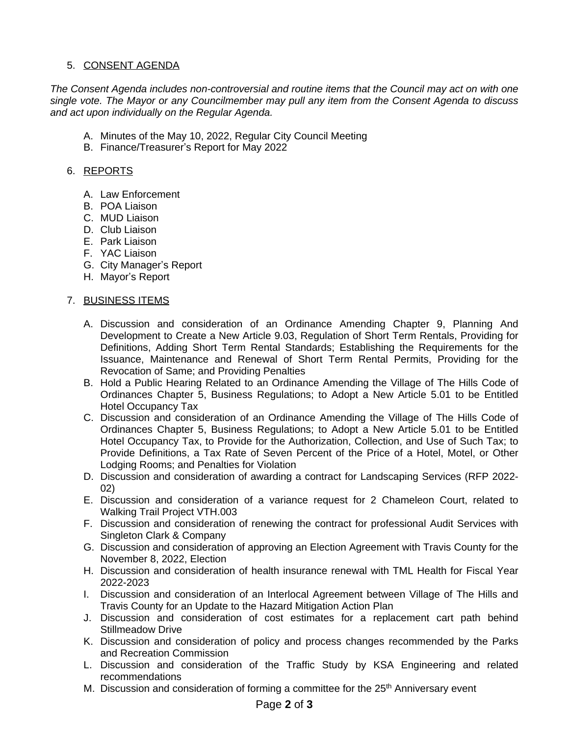### 5. CONSENT AGENDA

*The Consent Agenda includes non-controversial and routine items that the Council may act on with one single vote. The Mayor or any Councilmember may pull any item from the Consent Agenda to discuss and act upon individually on the Regular Agenda.*

- A. Minutes of the May 10, 2022, Regular City Council Meeting
- B. Finance/Treasurer's Report for May 2022

#### 6. REPORTS

- A. Law Enforcement
- B. POA Liaison
- C. MUD Liaison
- D. Club Liaison
- E. Park Liaison
- F. YAC Liaison
- G. City Manager's Report
- H. Mayor's Report

#### 7. BUSINESS ITEMS

- A. Discussion and consideration of an Ordinance Amending Chapter 9, Planning And Development to Create a New Article 9.03, Regulation of Short Term Rentals, Providing for Definitions, Adding Short Term Rental Standards; Establishing the Requirements for the Issuance, Maintenance and Renewal of Short Term Rental Permits, Providing for the Revocation of Same; and Providing Penalties
- B. Hold a Public Hearing Related to an Ordinance Amending the Village of The Hills Code of Ordinances Chapter 5, Business Regulations; to Adopt a New Article 5.01 to be Entitled Hotel Occupancy Tax
- C. Discussion and consideration of an Ordinance Amending the Village of The Hills Code of Ordinances Chapter 5, Business Regulations; to Adopt a New Article 5.01 to be Entitled Hotel Occupancy Tax, to Provide for the Authorization, Collection, and Use of Such Tax; to Provide Definitions, a Tax Rate of Seven Percent of the Price of a Hotel, Motel, or Other Lodging Rooms; and Penalties for Violation
- D. Discussion and consideration of awarding a contract for Landscaping Services (RFP 2022- 02)
- E. Discussion and consideration of a variance request for 2 Chameleon Court, related to Walking Trail Project VTH.003
- F. Discussion and consideration of renewing the contract for professional Audit Services with Singleton Clark & Company
- G. Discussion and consideration of approving an Election Agreement with Travis County for the November 8, 2022, Election
- H. Discussion and consideration of health insurance renewal with TML Health for Fiscal Year 2022-2023
- I. Discussion and consideration of an Interlocal Agreement between Village of The Hills and Travis County for an Update to the Hazard Mitigation Action Plan
- J. Discussion and consideration of cost estimates for a replacement cart path behind Stillmeadow Drive
- K. Discussion and consideration of policy and process changes recommended by the Parks and Recreation Commission
- L. Discussion and consideration of the Traffic Study by KSA Engineering and related recommendations
- M. Discussion and consideration of forming a committee for the  $25<sup>th</sup>$  Anniversary event